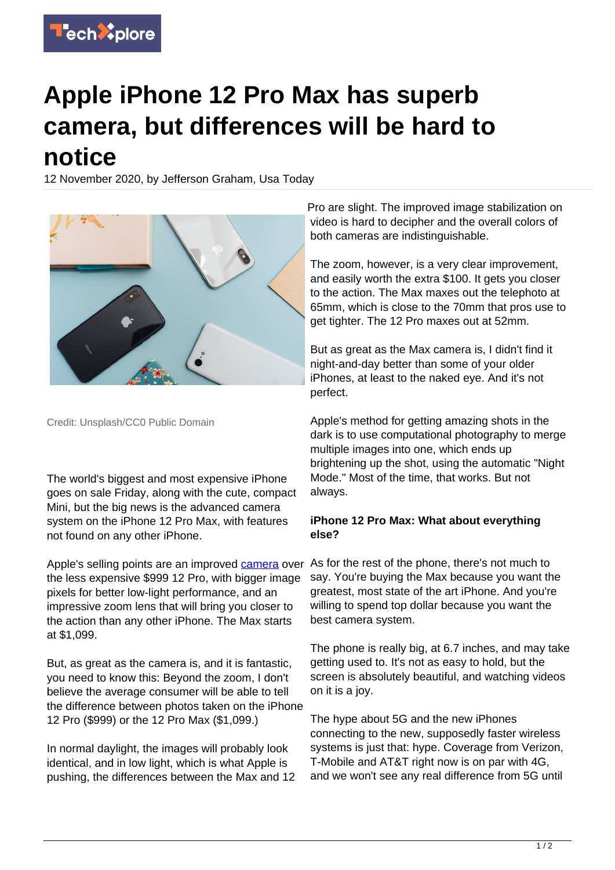

## **Apple iPhone 12 Pro Max has superb camera, but differences will be hard to notice**

12 November 2020, by Jefferson Graham, Usa Today



Credit: Unsplash/CC0 Public Domain

The world's biggest and most expensive iPhone goes on sale Friday, along with the cute, compact Mini, but the big news is the advanced camera system on the iPhone 12 Pro Max, with features not found on any other iPhone.

Apple's selling points are an improved [camera](https://techxplore.com/tags/camera/) over the less expensive \$999 12 Pro, with bigger image pixels for better low-light performance, and an impressive zoom lens that will bring you closer to the action than any other iPhone. The Max starts at \$1,099.

But, as great as the camera is, and it is fantastic, you need to know this: Beyond the zoom, I don't believe the average consumer will be able to tell the difference between photos taken on the iPhone 12 Pro (\$999) or the 12 Pro Max (\$1,099.)

In normal daylight, the images will probably look identical, and in low light, which is what Apple is pushing, the differences between the Max and 12 Pro are slight. The improved image stabilization on video is hard to decipher and the overall colors of both cameras are indistinguishable.

The zoom, however, is a very clear improvement, and easily worth the extra \$100. It gets you closer to the action. The Max maxes out the telephoto at 65mm, which is close to the 70mm that pros use to get tighter. The 12 Pro maxes out at 52mm.

But as great as the Max camera is, I didn't find it night-and-day better than some of your older iPhones, at least to the naked eye. And it's not perfect.

Apple's method for getting amazing shots in the dark is to use computational photography to merge multiple images into one, which ends up brightening up the shot, using the automatic "Night Mode." Most of the time, that works. But not always.

## **iPhone 12 Pro Max: What about everything else?**

As for the rest of the phone, there's not much to say. You're buying the Max because you want the greatest, most state of the art iPhone. And you're willing to spend top dollar because you want the best camera system.

The phone is really big, at 6.7 inches, and may take getting used to. It's not as easy to hold, but the screen is absolutely beautiful, and watching videos on it is a joy.

The hype about 5G and the new iPhones connecting to the new, supposedly faster wireless systems is just that: hype. Coverage from Verizon, T-Mobile and AT&T right now is on par with 4G, and we won't see any real difference from 5G until